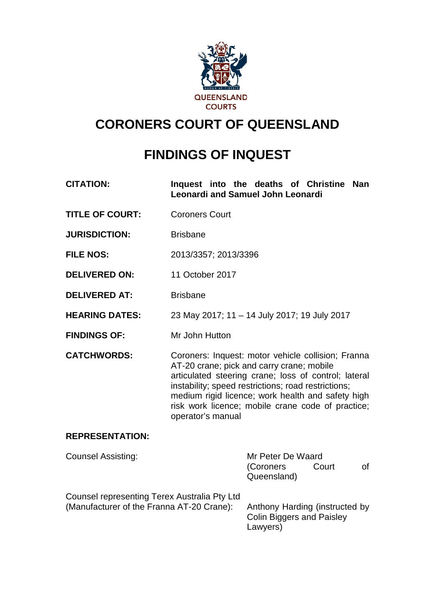

# **CORONERS COURT OF QUEENSLAND**

# **FINDINGS OF INQUEST**

- **CITATION: Inquest into the deaths of Christine Nan Leonardi and Samuel John Leonardi**
- **TITLE OF COURT:** Coroners Court
- **JURISDICTION:** Brisbane
- **FILE NOS:** 2013/3357; 2013/3396
- **DELIVERED ON:** 11 October 2017
- **DELIVERED AT:** Brisbane
- **HEARING DATES:** 23 May 2017; 11 14 July 2017; 19 July 2017
- **FINDINGS OF:** Mr John Hutton

**CATCHWORDS:** Coroners: Inquest: motor vehicle collision; Franna AT-20 crane; pick and carry crane; mobile articulated steering crane; loss of control; lateral instability; speed restrictions; road restrictions; medium rigid licence; work health and safety high risk work licence; mobile crane code of practice; operator's manual

### **REPRESENTATION:**

| <b>Counsel Assisting:</b>                                                                 | Mr Peter De Waard<br>(Coroners<br>Queensland)                                  | Court |  |
|-------------------------------------------------------------------------------------------|--------------------------------------------------------------------------------|-------|--|
| Counsel representing Terex Australia Pty Ltd<br>(Manufacturer of the Franna AT-20 Crane): | Anthony Harding (instructed by<br><b>Colin Biggers and Paisley</b><br>Lawyers) |       |  |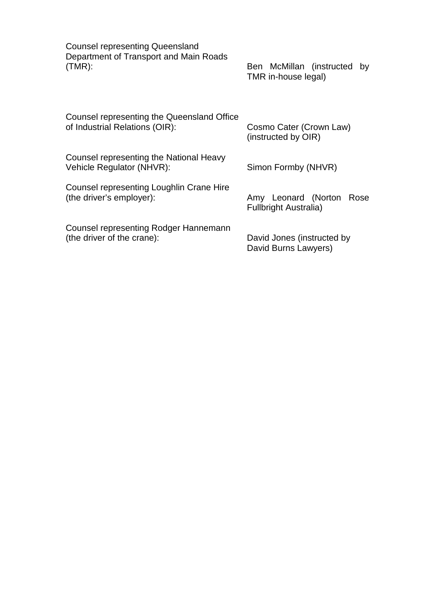Counsel representing Queensland Department of Transport and Main Roads (TMR):Ben McMillan (instructed by

Ben McMillan (instructed by<br>TMR in-house legal)

| Counsel representing the Queensland Office                           | Cosmo Cater (Crown Law)                                     |  |
|----------------------------------------------------------------------|-------------------------------------------------------------|--|
| of Industrial Relations (OIR):                                       | (instructed by OIR)                                         |  |
| Counsel representing the National Heavy<br>Vehicle Regulator (NHVR): | Simon Formby (NHVR)                                         |  |
| Counsel representing Loughlin Crane Hire<br>(the driver's employer): | Leonard (Norton Rose<br>Amy<br><b>Fullbright Australia)</b> |  |
| Counsel representing Rodger Hannemann                                | David Jones (instructed by                                  |  |
| (the driver of the crane):                                           | David Burns Lawyers)                                        |  |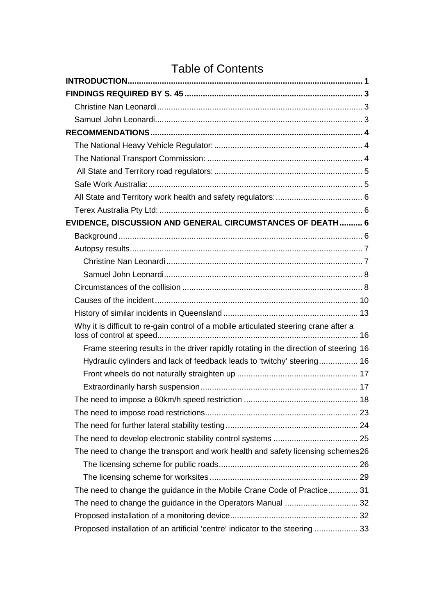# Table of Contents

| EVIDENCE, DISCUSSION AND GENERAL CIRCUMSTANCES OF DEATH  6                            |  |
|---------------------------------------------------------------------------------------|--|
|                                                                                       |  |
|                                                                                       |  |
|                                                                                       |  |
|                                                                                       |  |
|                                                                                       |  |
|                                                                                       |  |
|                                                                                       |  |
| Why it is difficult to re-gain control of a mobile articulated steering crane after a |  |
| Frame steering results in the driver rapidly rotating in the direction of steering 16 |  |
| Hydraulic cylinders and lack of feedback leads to 'twitchy' steering 16               |  |
|                                                                                       |  |
|                                                                                       |  |
|                                                                                       |  |
|                                                                                       |  |
|                                                                                       |  |
|                                                                                       |  |
| The need to change the transport and work health and safety licensing schemes26       |  |
|                                                                                       |  |
|                                                                                       |  |
| The need to change the guidance in the Mobile Crane Code of Practice 31               |  |
|                                                                                       |  |
|                                                                                       |  |
| Proposed installation of an artificial 'centre' indicator to the steering  33         |  |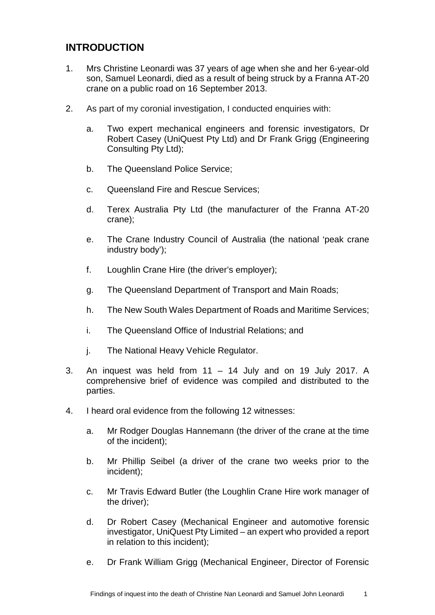# <span id="page-3-0"></span>**INTRODUCTION**

- 1. Mrs Christine Leonardi was 37 years of age when she and her 6-year-old son, Samuel Leonardi, died as a result of being struck by a Franna AT-20 crane on a public road on 16 September 2013.
- 2. As part of my coronial investigation, I conducted enquiries with:
	- a. Two expert mechanical engineers and forensic investigators, Dr Robert Casey (UniQuest Pty Ltd) and Dr Frank Grigg (Engineering Consulting Pty Ltd);
	- b. The Queensland Police Service;
	- c. Queensland Fire and Rescue Services;
	- d. Terex Australia Pty Ltd (the manufacturer of the Franna AT-20 crane);
	- e. The Crane Industry Council of Australia (the national 'peak crane industry body');
	- f. Loughlin Crane Hire (the driver's employer);
	- g. The Queensland Department of Transport and Main Roads;
	- h. The New South Wales Department of Roads and Maritime Services;
	- i. The Queensland Office of Industrial Relations; and
	- j. The National Heavy Vehicle Regulator.
- 3. An inquest was held from 11 14 July and on 19 July 2017. A comprehensive brief of evidence was compiled and distributed to the parties.
- 4. I heard oral evidence from the following 12 witnesses:
	- a. Mr Rodger Douglas Hannemann (the driver of the crane at the time of the incident);
	- b. Mr Phillip Seibel (a driver of the crane two weeks prior to the incident);
	- c. Mr Travis Edward Butler (the Loughlin Crane Hire work manager of the driver);
	- d. Dr Robert Casey (Mechanical Engineer and automotive forensic investigator, UniQuest Pty Limited – an expert who provided a report in relation to this incident);
	- e. Dr Frank William Grigg (Mechanical Engineer, Director of Forensic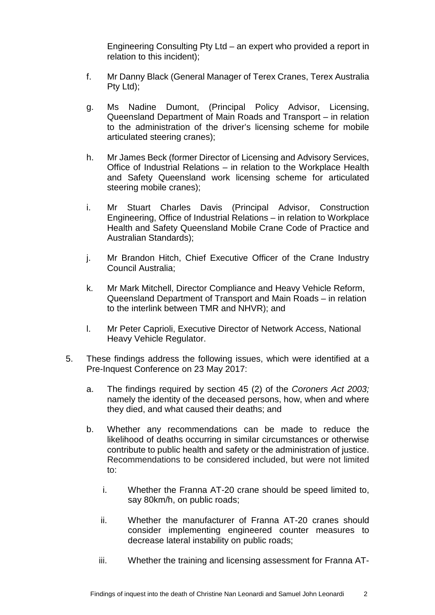Engineering Consulting Pty Ltd – an expert who provided a report in relation to this incident);

- f. Mr Danny Black (General Manager of Terex Cranes, Terex Australia Pty Ltd);
- g. Ms Nadine Dumont, (Principal Policy Advisor, Licensing, Queensland Department of Main Roads and Transport – in relation to the administration of the driver's licensing scheme for mobile articulated steering cranes);
- h. Mr James Beck (former Director of Licensing and Advisory Services, Office of Industrial Relations – in relation to the Workplace Health and Safety Queensland work licensing scheme for articulated steering mobile cranes);
- i. Mr Stuart Charles Davis (Principal Advisor, Construction Engineering, Office of Industrial Relations – in relation to Workplace Health and Safety Queensland Mobile Crane Code of Practice and Australian Standards);
- j. Mr Brandon Hitch, Chief Executive Officer of the Crane Industry Council Australia;
- k. Mr Mark Mitchell, Director Compliance and Heavy Vehicle Reform, Queensland Department of Transport and Main Roads – in relation to the interlink between TMR and NHVR); and
- l. Mr Peter Caprioli, Executive Director of Network Access, National Heavy Vehicle Regulator.
- 5. These findings address the following issues, which were identified at a Pre-Inquest Conference on 23 May 2017:
	- a. The findings required by section 45 (2) of the *Coroners Act 2003;* namely the identity of the deceased persons, how, when and where they died, and what caused their deaths; and
	- b. Whether any recommendations can be made to reduce the likelihood of deaths occurring in similar circumstances or otherwise contribute to public health and safety or the administration of justice. Recommendations to be considered included, but were not limited to:
		- i. Whether the Franna AT-20 crane should be speed limited to, say 80km/h, on public roads;
		- ii. Whether the manufacturer of Franna AT-20 cranes should consider implementing engineered counter measures to decrease lateral instability on public roads;
		- iii. Whether the training and licensing assessment for Franna AT-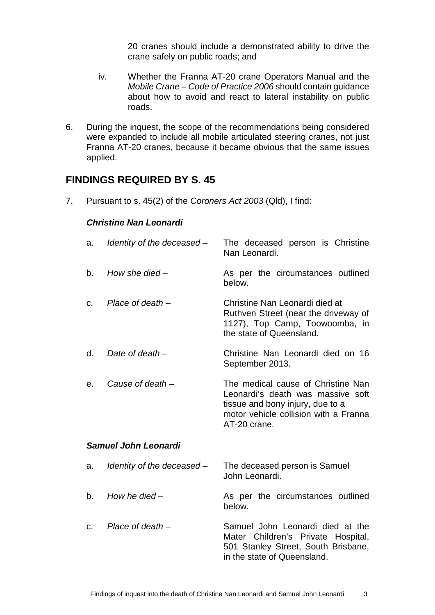20 cranes should include a demonstrated ability to drive the crane safely on public roads; and

- iv. Whether the Franna AT-20 crane Operators Manual and the *Mobile Crane – Code of Practice 2006* should contain guidance about how to avoid and react to lateral instability on public roads.
- 6. During the inquest, the scope of the recommendations being considered were expanded to include all mobile articulated steering cranes, not just Franna AT-20 cranes, because it became obvious that the same issues applied.

## <span id="page-5-0"></span>**FINDINGS REQUIRED BY S. 45**

<span id="page-5-1"></span>7. Pursuant to s. 45(2) of the *Coroners Act 2003* (Qld), I find:

#### *Christine Nan Leonardi*

<span id="page-5-2"></span>

| a.                          | Identity of the deceased - | The deceased person is Christine<br>Nan Leonardi.                                                                                                                    |  |  |
|-----------------------------|----------------------------|----------------------------------------------------------------------------------------------------------------------------------------------------------------------|--|--|
| b.                          | How she died $-$           | As per the circumstances outlined<br>below.                                                                                                                          |  |  |
| C.                          | Place of death $-$         | Christine Nan Leonardi died at<br>Ruthven Street (near the driveway of<br>1127), Top Camp, Toowoomba, in<br>the state of Queensland.                                 |  |  |
| d.                          | Date of death $-$          | Christine Nan Leonardi died on 16<br>September 2013.                                                                                                                 |  |  |
| е.                          | Cause of death -           | The medical cause of Christine Nan<br>Leonardi's death was massive soft<br>tissue and bony injury, due to a<br>motor vehicle collision with a Franna<br>AT-20 crane. |  |  |
| <b>Samuel John Leonardi</b> |                            |                                                                                                                                                                      |  |  |
| a.                          | Identity of the deceased - | The deceased person is Samuel<br>John Leonardi.                                                                                                                      |  |  |
| b.                          | How he died $-$            | As per the circumstances outlined<br>below.                                                                                                                          |  |  |
| C.                          | Place of death $-$         | Samuel John Leonardi died at the<br>Mater Children's Private Hospital,<br>501 Stanley Street, South Brisbane,<br>in the state of Queensland.                         |  |  |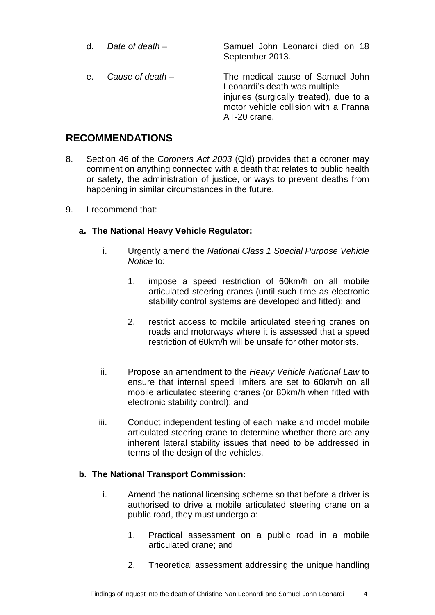d. *Date of death* – Samuel John Leonardi died on 18 September 2013. e. *Cause of death* – The medical cause of Samuel John Leonardi's death was multiple injuries (surgically treated), due to a motor vehicle collision with a Franna AT-20 crane.

## <span id="page-6-0"></span>**RECOMMENDATIONS**

- 8. Section 46 of the *Coroners Act 2003* (Qld) provides that a coroner may comment on anything connected with a death that relates to public health or safety, the administration of justice, or ways to prevent deaths from happening in similar circumstances in the future.
- 9. I recommend that:

## <span id="page-6-1"></span>**a. The National Heavy Vehicle Regulator:**

- i. Urgently amend the *National Class 1 Special Purpose Vehicle Notice* to:
	- 1. impose a speed restriction of 60km/h on all mobile articulated steering cranes (until such time as electronic stability control systems are developed and fitted); and
	- 2. restrict access to mobile articulated steering cranes on roads and motorways where it is assessed that a speed restriction of 60km/h will be unsafe for other motorists.
- ii. Propose an amendment to the *Heavy Vehicle National Law* to ensure that internal speed limiters are set to 60km/h on all mobile articulated steering cranes (or 80km/h when fitted with electronic stability control); and
- iii. Conduct independent testing of each make and model mobile articulated steering crane to determine whether there are any inherent lateral stability issues that need to be addressed in terms of the design of the vehicles.

### <span id="page-6-2"></span>**b. The National Transport Commission:**

- i. Amend the national licensing scheme so that before a driver is authorised to drive a mobile articulated steering crane on a public road, they must undergo a:
	- 1. Practical assessment on a public road in a mobile articulated crane; and
	- 2. Theoretical assessment addressing the unique handling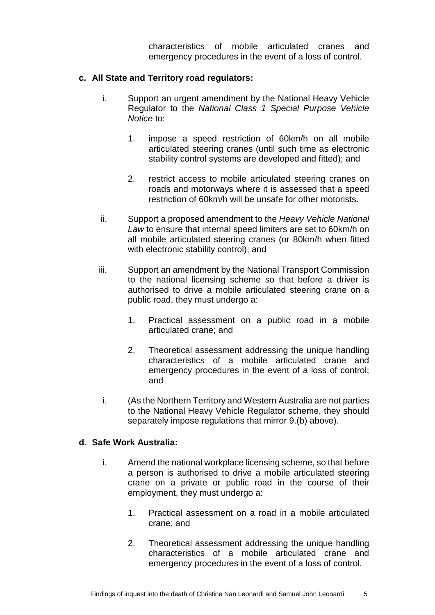characteristics of mobile articulated cranes and emergency procedures in the event of a loss of control.

#### <span id="page-7-0"></span>**c. All State and Territory road regulators:**

- i. Support an urgent amendment by the National Heavy Vehicle Regulator to the *National Class 1 Special Purpose Vehicle Notice* to:
	- 1. impose a speed restriction of 60km/h on all mobile articulated steering cranes (until such time as electronic stability control systems are developed and fitted); and
	- 2. restrict access to mobile articulated steering cranes on roads and motorways where it is assessed that a speed restriction of 60km/h will be unsafe for other motorists.
- ii. Support a proposed amendment to the *Heavy Vehicle National Law* to ensure that internal speed limiters are set to 60km/h on all mobile articulated steering cranes (or 80km/h when fitted with electronic stability control); and
- iii. Support an amendment by the National Transport Commission to the national licensing scheme so that before a driver is authorised to drive a mobile articulated steering crane on a public road, they must undergo a:
	- 1. Practical assessment on a public road in a mobile articulated crane; and
	- 2. Theoretical assessment addressing the unique handling characteristics of a mobile articulated crane and emergency procedures in the event of a loss of control; and
- i. (As the Northern Territory and Western Australia are not parties to the National Heavy Vehicle Regulator scheme, they should separately impose regulations that mirror 9.(b) above).

#### <span id="page-7-1"></span>**d. Safe Work Australia:**

- i. Amend the national workplace licensing scheme, so that before a person is authorised to drive a mobile articulated steering crane on a private or public road in the course of their employment, they must undergo a:
	- 1. Practical assessment on a road in a mobile articulated crane; and
	- 2. Theoretical assessment addressing the unique handling characteristics of a mobile articulated crane and emergency procedures in the event of a loss of control.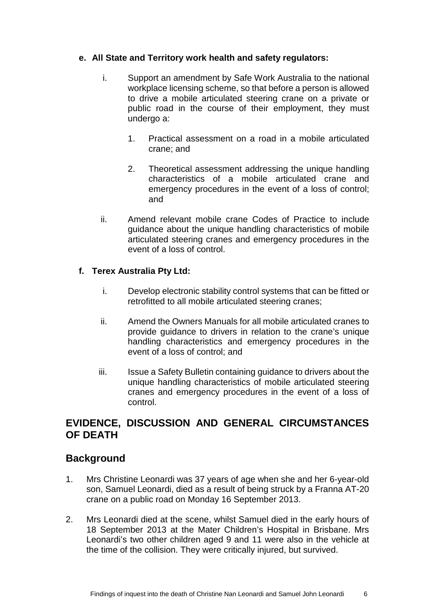### <span id="page-8-0"></span>**e. All State and Territory work health and safety regulators:**

- i. Support an amendment by Safe Work Australia to the national workplace licensing scheme, so that before a person is allowed to drive a mobile articulated steering crane on a private or public road in the course of their employment, they must undergo a:
	- 1. Practical assessment on a road in a mobile articulated crane; and
	- 2. Theoretical assessment addressing the unique handling characteristics of a mobile articulated crane and emergency procedures in the event of a loss of control; and
- ii. Amend relevant mobile crane Codes of Practice to include guidance about the unique handling characteristics of mobile articulated steering cranes and emergency procedures in the event of a loss of control.

## <span id="page-8-1"></span>**f. Terex Australia Pty Ltd:**

- i. Develop electronic stability control systems that can be fitted or retrofitted to all mobile articulated steering cranes;
- ii. Amend the Owners Manuals for all mobile articulated cranes to provide guidance to drivers in relation to the crane's unique handling characteristics and emergency procedures in the event of a loss of control; and
- iii. Issue a Safety Bulletin containing guidance to drivers about the unique handling characteristics of mobile articulated steering cranes and emergency procedures in the event of a loss of control.

# <span id="page-8-2"></span>**EVIDENCE, DISCUSSION AND GENERAL CIRCUMSTANCES OF DEATH**

## <span id="page-8-3"></span>**Background**

- 1. Mrs Christine Leonardi was 37 years of age when she and her 6-year-old son, Samuel Leonardi, died as a result of being struck by a Franna AT-20 crane on a public road on Monday 16 September 2013.
- 2. Mrs Leonardi died at the scene, whilst Samuel died in the early hours of 18 September 2013 at the Mater Children's Hospital in Brisbane. Mrs Leonardi's two other children aged 9 and 11 were also in the vehicle at the time of the collision. They were critically injured, but survived.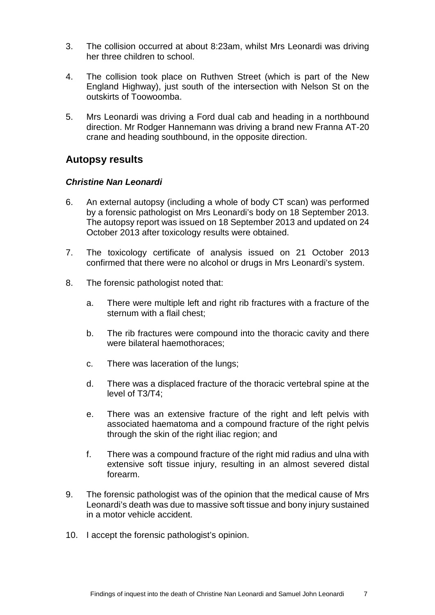- 3. The collision occurred at about 8:23am, whilst Mrs Leonardi was driving her three children to school.
- 4. The collision took place on Ruthven Street (which is part of the New England Highway), just south of the intersection with Nelson St on the outskirts of Toowoomba.
- 5. Mrs Leonardi was driving a Ford dual cab and heading in a northbound direction. Mr Rodger Hannemann was driving a brand new Franna AT-20 crane and heading southbound, in the opposite direction.

## <span id="page-9-0"></span>**Autopsy results**

### <span id="page-9-1"></span>*Christine Nan Leonardi*

- 6. An external autopsy (including a whole of body CT scan) was performed by a forensic pathologist on Mrs Leonardi's body on 18 September 2013. The autopsy report was issued on 18 September 2013 and updated on 24 October 2013 after toxicology results were obtained.
- 7. The toxicology certificate of analysis issued on 21 October 2013 confirmed that there were no alcohol or drugs in Mrs Leonardi's system.
- 8. The forensic pathologist noted that:
	- a. There were multiple left and right rib fractures with a fracture of the sternum with a flail chest;
	- b. The rib fractures were compound into the thoracic cavity and there were bilateral haemothoraces;
	- c. There was laceration of the lungs;
	- d. There was a displaced fracture of the thoracic vertebral spine at the level of T3/T4;
	- e. There was an extensive fracture of the right and left pelvis with associated haematoma and a compound fracture of the right pelvis through the skin of the right iliac region; and
	- f. There was a compound fracture of the right mid radius and ulna with extensive soft tissue injury, resulting in an almost severed distal forearm.
- 9. The forensic pathologist was of the opinion that the medical cause of Mrs Leonardi's death was due to massive soft tissue and bony injury sustained in a motor vehicle accident.
- 10. I accept the forensic pathologist's opinion.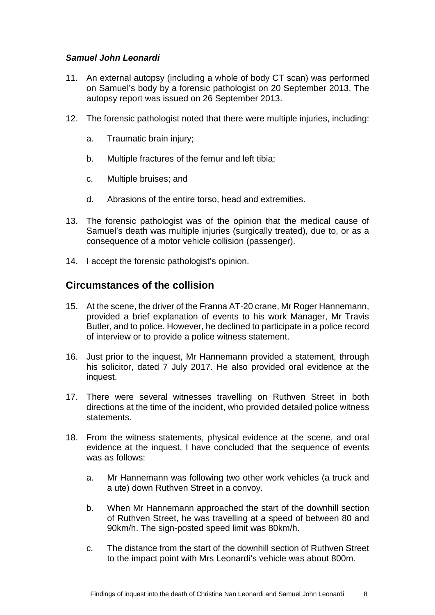## <span id="page-10-0"></span>*Samuel John Leonardi*

- 11. An external autopsy (including a whole of body CT scan) was performed on Samuel's body by a forensic pathologist on 20 September 2013. The autopsy report was issued on 26 September 2013.
- 12. The forensic pathologist noted that there were multiple injuries, including:
	- a. Traumatic brain injury;
	- b. Multiple fractures of the femur and left tibia;
	- c. Multiple bruises; and
	- d. Abrasions of the entire torso, head and extremities.
- 13. The forensic pathologist was of the opinion that the medical cause of Samuel's death was multiple injuries (surgically treated), due to, or as a consequence of a motor vehicle collision (passenger).
- 14. I accept the forensic pathologist's opinion.

## <span id="page-10-1"></span>**Circumstances of the collision**

- 15. At the scene, the driver of the Franna AT-20 crane, Mr Roger Hannemann, provided a brief explanation of events to his work Manager, Mr Travis Butler, and to police. However, he declined to participate in a police record of interview or to provide a police witness statement.
- 16. Just prior to the inquest, Mr Hannemann provided a statement, through his solicitor, dated 7 July 2017. He also provided oral evidence at the inquest.
- 17. There were several witnesses travelling on Ruthven Street in both directions at the time of the incident, who provided detailed police witness statements.
- 18. From the witness statements, physical evidence at the scene, and oral evidence at the inquest, I have concluded that the sequence of events was as follows:
	- a. Mr Hannemann was following two other work vehicles (a truck and a ute) down Ruthven Street in a convoy.
	- b. When Mr Hannemann approached the start of the downhill section of Ruthven Street, he was travelling at a speed of between 80 and 90km/h. The sign-posted speed limit was 80km/h.
	- c. The distance from the start of the downhill section of Ruthven Street to the impact point with Mrs Leonardi's vehicle was about 800m.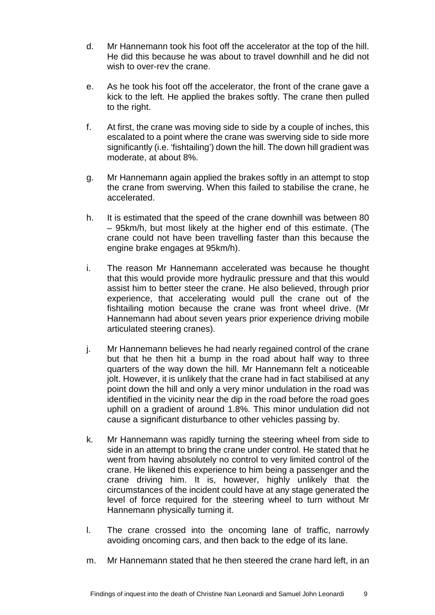- d. Mr Hannemann took his foot off the accelerator at the top of the hill. He did this because he was about to travel downhill and he did not wish to over-rev the crane.
- e. As he took his foot off the accelerator, the front of the crane gave a kick to the left. He applied the brakes softly. The crane then pulled to the right.
- f. At first, the crane was moving side to side by a couple of inches, this escalated to a point where the crane was swerving side to side more significantly (i.e. 'fishtailing') down the hill. The down hill gradient was moderate, at about 8%.
- g. Mr Hannemann again applied the brakes softly in an attempt to stop the crane from swerving. When this failed to stabilise the crane, he accelerated.
- h. It is estimated that the speed of the crane downhill was between 80 – 95km/h, but most likely at the higher end of this estimate. (The crane could not have been travelling faster than this because the engine brake engages at 95km/h).
- i. The reason Mr Hannemann accelerated was because he thought that this would provide more hydraulic pressure and that this would assist him to better steer the crane. He also believed, through prior experience, that accelerating would pull the crane out of the fishtailing motion because the crane was front wheel drive. (Mr Hannemann had about seven years prior experience driving mobile articulated steering cranes).
- j. Mr Hannemann believes he had nearly regained control of the crane but that he then hit a bump in the road about half way to three quarters of the way down the hill. Mr Hannemann felt a noticeable jolt. However, it is unlikely that the crane had in fact stabilised at any point down the hill and only a very minor undulation in the road was identified in the vicinity near the dip in the road before the road goes uphill on a gradient of around 1.8%. This minor undulation did not cause a significant disturbance to other vehicles passing by.
- k. Mr Hannemann was rapidly turning the steering wheel from side to side in an attempt to bring the crane under control. He stated that he went from having absolutely no control to very limited control of the crane. He likened this experience to him being a passenger and the crane driving him. It is, however, highly unlikely that the circumstances of the incident could have at any stage generated the level of force required for the steering wheel to turn without Mr Hannemann physically turning it.
- l. The crane crossed into the oncoming lane of traffic, narrowly avoiding oncoming cars, and then back to the edge of its lane.
- m. Mr Hannemann stated that he then steered the crane hard left, in an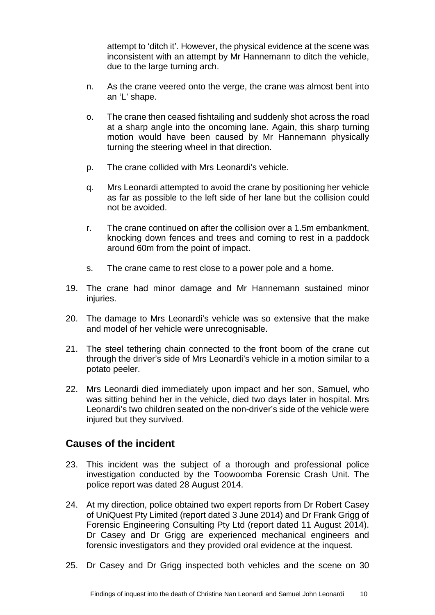attempt to 'ditch it'. However, the physical evidence at the scene was inconsistent with an attempt by Mr Hannemann to ditch the vehicle, due to the large turning arch.

- n. As the crane veered onto the verge, the crane was almost bent into an 'L' shape.
- o. The crane then ceased fishtailing and suddenly shot across the road at a sharp angle into the oncoming lane. Again, this sharp turning motion would have been caused by Mr Hannemann physically turning the steering wheel in that direction.
- p. The crane collided with Mrs Leonardi's vehicle.
- q. Mrs Leonardi attempted to avoid the crane by positioning her vehicle as far as possible to the left side of her lane but the collision could not be avoided.
- r. The crane continued on after the collision over a 1.5m embankment, knocking down fences and trees and coming to rest in a paddock around 60m from the point of impact.
- s. The crane came to rest close to a power pole and a home.
- 19. The crane had minor damage and Mr Hannemann sustained minor injuries.
- 20. The damage to Mrs Leonardi's vehicle was so extensive that the make and model of her vehicle were unrecognisable.
- 21. The steel tethering chain connected to the front boom of the crane cut through the driver's side of Mrs Leonardi's vehicle in a motion similar to a potato peeler.
- 22. Mrs Leonardi died immediately upon impact and her son, Samuel, who was sitting behind her in the vehicle, died two days later in hospital. Mrs Leonardi's two children seated on the non-driver's side of the vehicle were injured but they survived.

## <span id="page-12-0"></span>**Causes of the incident**

- 23. This incident was the subject of a thorough and professional police investigation conducted by the Toowoomba Forensic Crash Unit. The police report was dated 28 August 2014.
- 24. At my direction, police obtained two expert reports from Dr Robert Casey of UniQuest Pty Limited (report dated 3 June 2014) and Dr Frank Grigg of Forensic Engineering Consulting Pty Ltd (report dated 11 August 2014). Dr Casey and Dr Grigg are experienced mechanical engineers and forensic investigators and they provided oral evidence at the inquest.
- 25. Dr Casey and Dr Grigg inspected both vehicles and the scene on 30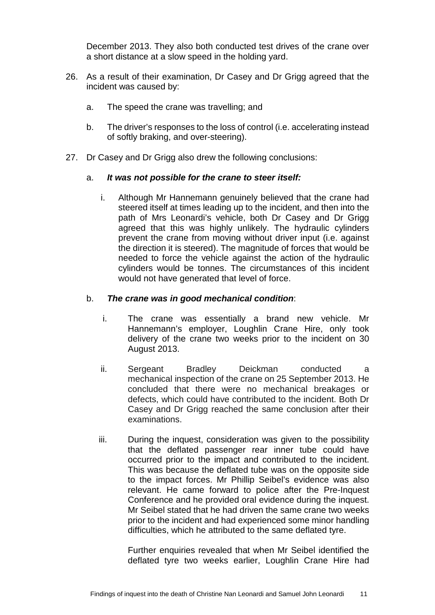December 2013. They also both conducted test drives of the crane over a short distance at a slow speed in the holding yard.

- 26. As a result of their examination, Dr Casey and Dr Grigg agreed that the incident was caused by:
	- a. The speed the crane was travelling; and
	- b. The driver's responses to the loss of control (i.e. accelerating instead of softly braking, and over-steering).
- 27. Dr Casey and Dr Grigg also drew the following conclusions:

### a. *It was not possible for the crane to steer itself:*

i. Although Mr Hannemann genuinely believed that the crane had steered itself at times leading up to the incident, and then into the path of Mrs Leonardi's vehicle, both Dr Casey and Dr Grigg agreed that this was highly unlikely. The hydraulic cylinders prevent the crane from moving without driver input (i.e. against the direction it is steered). The magnitude of forces that would be needed to force the vehicle against the action of the hydraulic cylinders would be tonnes. The circumstances of this incident would not have generated that level of force.

#### b. *The crane was in good mechanical condition*:

- i. The crane was essentially a brand new vehicle. Mr Hannemann's employer, Loughlin Crane Hire, only took delivery of the crane two weeks prior to the incident on 30 August 2013.
- ii. Sergeant Bradley Deickman conducted a mechanical inspection of the crane on 25 September 2013. He concluded that there were no mechanical breakages or defects, which could have contributed to the incident. Both Dr Casey and Dr Grigg reached the same conclusion after their examinations.
- iii. During the inquest, consideration was given to the possibility that the deflated passenger rear inner tube could have occurred prior to the impact and contributed to the incident. This was because the deflated tube was on the opposite side to the impact forces. Mr Phillip Seibel's evidence was also relevant. He came forward to police after the Pre-Inquest Conference and he provided oral evidence during the inquest. Mr Seibel stated that he had driven the same crane two weeks prior to the incident and had experienced some minor handling difficulties, which he attributed to the same deflated tyre.

Further enquiries revealed that when Mr Seibel identified the deflated tyre two weeks earlier, Loughlin Crane Hire had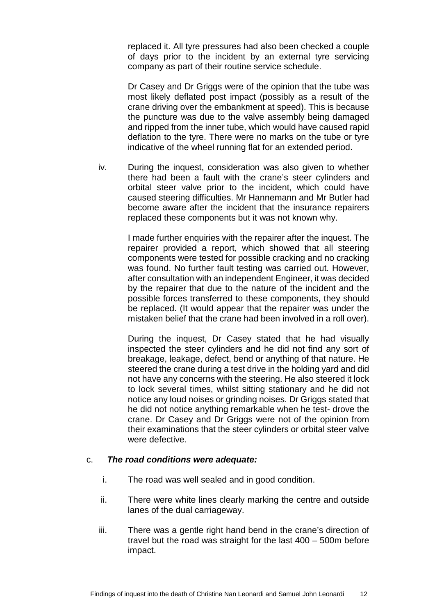replaced it. All tyre pressures had also been checked a couple of days prior to the incident by an external tyre servicing company as part of their routine service schedule.

Dr Casey and Dr Griggs were of the opinion that the tube was most likely deflated post impact (possibly as a result of the crane driving over the embankment at speed). This is because the puncture was due to the valve assembly being damaged and ripped from the inner tube, which would have caused rapid deflation to the tyre. There were no marks on the tube or tyre indicative of the wheel running flat for an extended period.

iv. During the inquest, consideration was also given to whether there had been a fault with the crane's steer cylinders and orbital steer valve prior to the incident, which could have caused steering difficulties. Mr Hannemann and Mr Butler had become aware after the incident that the insurance repairers replaced these components but it was not known why.

> I made further enquiries with the repairer after the inquest. The repairer provided a report, which showed that all steering components were tested for possible cracking and no cracking was found. No further fault testing was carried out. However, after consultation with an independent Engineer, it was decided by the repairer that due to the nature of the incident and the possible forces transferred to these components, they should be replaced. (It would appear that the repairer was under the mistaken belief that the crane had been involved in a roll over).

> During the inquest, Dr Casey stated that he had visually inspected the steer cylinders and he did not find any sort of breakage, leakage, defect, bend or anything of that nature. He steered the crane during a test drive in the holding yard and did not have any concerns with the steering. He also steered it lock to lock several times, whilst sitting stationary and he did not notice any loud noises or grinding noises. Dr Griggs stated that he did not notice anything remarkable when he test- drove the crane. Dr Casey and Dr Griggs were not of the opinion from their examinations that the steer cylinders or orbital steer valve were defective.

#### c. *The road conditions were adequate:*

- i. The road was well sealed and in good condition.
- ii. There were white lines clearly marking the centre and outside lanes of the dual carriageway.
- iii. There was a gentle right hand bend in the crane's direction of travel but the road was straight for the last 400 – 500m before impact.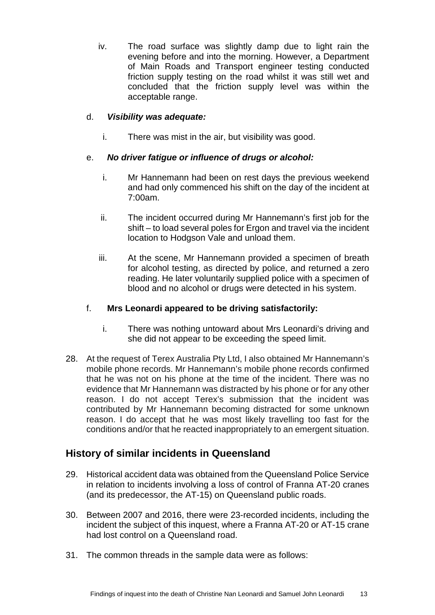iv. The road surface was slightly damp due to light rain the evening before and into the morning. However, a Department of Main Roads and Transport engineer testing conducted friction supply testing on the road whilst it was still wet and concluded that the friction supply level was within the acceptable range.

## d. *Visibility was adequate:*

i. There was mist in the air, but visibility was good.

## e. *No driver fatigue or influence of drugs or alcohol:*

- i. Mr Hannemann had been on rest days the previous weekend and had only commenced his shift on the day of the incident at 7:00am.
- ii. The incident occurred during Mr Hannemann's first job for the shift – to load several poles for Ergon and travel via the incident location to Hodgson Vale and unload them.
- iii. At the scene, Mr Hannemann provided a specimen of breath for alcohol testing, as directed by police, and returned a zero reading. He later voluntarily supplied police with a specimen of blood and no alcohol or drugs were detected in his system.

### f. **Mrs Leonardi appeared to be driving satisfactorily:**

- i. There was nothing untoward about Mrs Leonardi's driving and she did not appear to be exceeding the speed limit.
- 28. At the request of Terex Australia Pty Ltd, I also obtained Mr Hannemann's mobile phone records. Mr Hannemann's mobile phone records confirmed that he was not on his phone at the time of the incident. There was no evidence that Mr Hannemann was distracted by his phone or for any other reason. I do not accept Terex's submission that the incident was contributed by Mr Hannemann becoming distracted for some unknown reason. I do accept that he was most likely travelling too fast for the conditions and/or that he reacted inappropriately to an emergent situation.

# <span id="page-15-0"></span>**History of similar incidents in Queensland**

- 29. Historical accident data was obtained from the Queensland Police Service in relation to incidents involving a loss of control of Franna AT-20 cranes (and its predecessor, the AT-15) on Queensland public roads.
- 30. Between 2007 and 2016, there were 23-recorded incidents, including the incident the subject of this inquest, where a Franna AT-20 or AT-15 crane had lost control on a Queensland road.
- 31. The common threads in the sample data were as follows: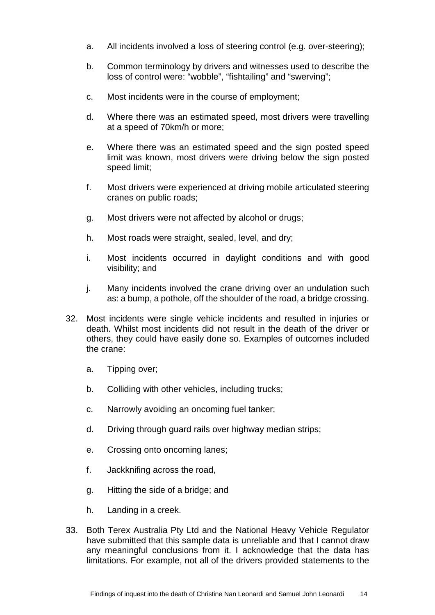- a. All incidents involved a loss of steering control (e.g. over-steering);
- b. Common terminology by drivers and witnesses used to describe the loss of control were: "wobble", "fishtailing" and "swerving";
- c. Most incidents were in the course of employment;
- d. Where there was an estimated speed, most drivers were travelling at a speed of 70km/h or more;
- e. Where there was an estimated speed and the sign posted speed limit was known, most drivers were driving below the sign posted speed limit;
- f. Most drivers were experienced at driving mobile articulated steering cranes on public roads;
- g. Most drivers were not affected by alcohol or drugs;
- h. Most roads were straight, sealed, level, and dry;
- i. Most incidents occurred in daylight conditions and with good visibility; and
- j. Many incidents involved the crane driving over an undulation such as: a bump, a pothole, off the shoulder of the road, a bridge crossing.
- 32. Most incidents were single vehicle incidents and resulted in injuries or death. Whilst most incidents did not result in the death of the driver or others, they could have easily done so. Examples of outcomes included the crane:
	- a. Tipping over;
	- b. Colliding with other vehicles, including trucks;
	- c. Narrowly avoiding an oncoming fuel tanker;
	- d. Driving through guard rails over highway median strips;
	- e. Crossing onto oncoming lanes;
	- f. Jackknifing across the road,
	- g. Hitting the side of a bridge; and
	- h. Landing in a creek.
- 33. Both Terex Australia Pty Ltd and the National Heavy Vehicle Regulator have submitted that this sample data is unreliable and that I cannot draw any meaningful conclusions from it. I acknowledge that the data has limitations. For example, not all of the drivers provided statements to the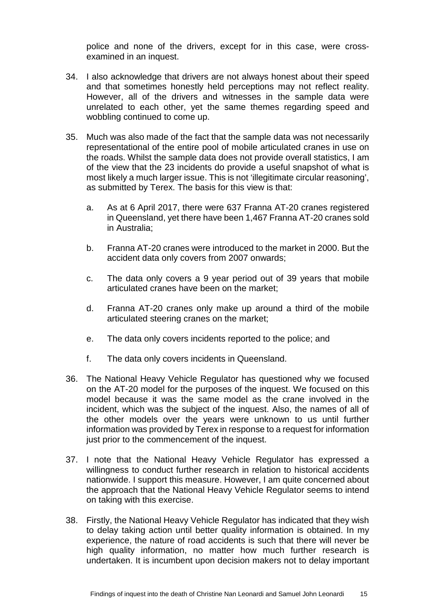police and none of the drivers, except for in this case, were crossexamined in an inquest.

- 34. I also acknowledge that drivers are not always honest about their speed and that sometimes honestly held perceptions may not reflect reality. However, all of the drivers and witnesses in the sample data were unrelated to each other, yet the same themes regarding speed and wobbling continued to come up.
- 35. Much was also made of the fact that the sample data was not necessarily representational of the entire pool of mobile articulated cranes in use on the roads. Whilst the sample data does not provide overall statistics, I am of the view that the 23 incidents do provide a useful snapshot of what is most likely a much larger issue. This is not 'illegitimate circular reasoning', as submitted by Terex. The basis for this view is that:
	- a. As at 6 April 2017, there were 637 Franna AT-20 cranes registered in Queensland, yet there have been 1,467 Franna AT-20 cranes sold in Australia;
	- b. Franna AT-20 cranes were introduced to the market in 2000. But the accident data only covers from 2007 onwards;
	- c. The data only covers a 9 year period out of 39 years that mobile articulated cranes have been on the market;
	- d. Franna AT-20 cranes only make up around a third of the mobile articulated steering cranes on the market;
	- e. The data only covers incidents reported to the police; and
	- f. The data only covers incidents in Queensland.
- 36. The National Heavy Vehicle Regulator has questioned why we focused on the AT-20 model for the purposes of the inquest. We focused on this model because it was the same model as the crane involved in the incident, which was the subject of the inquest. Also, the names of all of the other models over the years were unknown to us until further information was provided by Terex in response to a request for information just prior to the commencement of the inquest.
- 37. I note that the National Heavy Vehicle Regulator has expressed a willingness to conduct further research in relation to historical accidents nationwide. I support this measure. However, I am quite concerned about the approach that the National Heavy Vehicle Regulator seems to intend on taking with this exercise.
- 38. Firstly, the National Heavy Vehicle Regulator has indicated that they wish to delay taking action until better quality information is obtained. In my experience, the nature of road accidents is such that there will never be high quality information, no matter how much further research is undertaken. It is incumbent upon decision makers not to delay important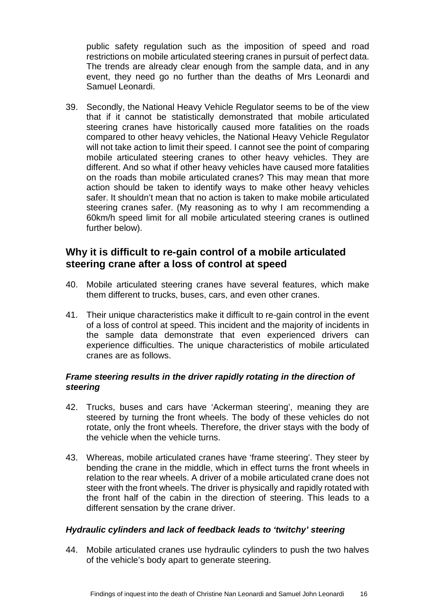public safety regulation such as the imposition of speed and road restrictions on mobile articulated steering cranes in pursuit of perfect data. The trends are already clear enough from the sample data, and in any event, they need go no further than the deaths of Mrs Leonardi and Samuel Leonardi.

39. Secondly, the National Heavy Vehicle Regulator seems to be of the view that if it cannot be statistically demonstrated that mobile articulated steering cranes have historically caused more fatalities on the roads compared to other heavy vehicles, the National Heavy Vehicle Regulator will not take action to limit their speed. I cannot see the point of comparing mobile articulated steering cranes to other heavy vehicles. They are different. And so what if other heavy vehicles have caused more fatalities on the roads than mobile articulated cranes? This may mean that more action should be taken to identify ways to make other heavy vehicles safer. It shouldn't mean that no action is taken to make mobile articulated steering cranes safer. (My reasoning as to why I am recommending a 60km/h speed limit for all mobile articulated steering cranes is outlined further below).

## <span id="page-18-0"></span>**Why it is difficult to re-gain control of a mobile articulated steering crane after a loss of control at speed**

- 40. Mobile articulated steering cranes have several features, which make them different to trucks, buses, cars, and even other cranes.
- 41. Their unique characteristics make it difficult to re-gain control in the event of a loss of control at speed. This incident and the majority of incidents in the sample data demonstrate that even experienced drivers can experience difficulties. The unique characteristics of mobile articulated cranes are as follows.

### <span id="page-18-1"></span>*Frame steering results in the driver rapidly rotating in the direction of steering*

- 42. Trucks, buses and cars have 'Ackerman steering', meaning they are steered by turning the front wheels. The body of these vehicles do not rotate, only the front wheels. Therefore, the driver stays with the body of the vehicle when the vehicle turns.
- 43. Whereas, mobile articulated cranes have 'frame steering'. They steer by bending the crane in the middle, which in effect turns the front wheels in relation to the rear wheels. A driver of a mobile articulated crane does not steer with the front wheels. The driver is physically and rapidly rotated with the front half of the cabin in the direction of steering. This leads to a different sensation by the crane driver.

### <span id="page-18-2"></span>*Hydraulic cylinders and lack of feedback leads to 'twitchy' steering*

44. Mobile articulated cranes use hydraulic cylinders to push the two halves of the vehicle's body apart to generate steering.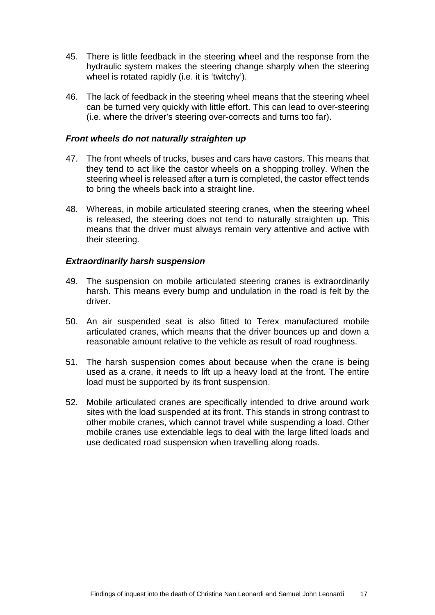- 45. There is little feedback in the steering wheel and the response from the hydraulic system makes the steering change sharply when the steering wheel is rotated rapidly (i.e. it is 'twitchy').
- 46. The lack of feedback in the steering wheel means that the steering wheel can be turned very quickly with little effort. This can lead to over-steering (i.e. where the driver's steering over-corrects and turns too far).

#### <span id="page-19-0"></span>*Front wheels do not naturally straighten up*

- 47. The front wheels of trucks, buses and cars have castors. This means that they tend to act like the castor wheels on a shopping trolley. When the steering wheel is released after a turn is completed, the castor effect tends to bring the wheels back into a straight line.
- 48. Whereas, in mobile articulated steering cranes, when the steering wheel is released, the steering does not tend to naturally straighten up. This means that the driver must always remain very attentive and active with their steering.

#### <span id="page-19-1"></span>*Extraordinarily harsh suspension*

- 49. The suspension on mobile articulated steering cranes is extraordinarily harsh. This means every bump and undulation in the road is felt by the driver.
- 50. An air suspended seat is also fitted to Terex manufactured mobile articulated cranes, which means that the driver bounces up and down a reasonable amount relative to the vehicle as result of road roughness.
- 51. The harsh suspension comes about because when the crane is being used as a crane, it needs to lift up a heavy load at the front. The entire load must be supported by its front suspension.
- <span id="page-19-2"></span>52. Mobile articulated cranes are specifically intended to drive around work sites with the load suspended at its front. This stands in strong contrast to other mobile cranes, which cannot travel while suspending a load. Other mobile cranes use extendable legs to deal with the large lifted loads and use dedicated road suspension when travelling along roads.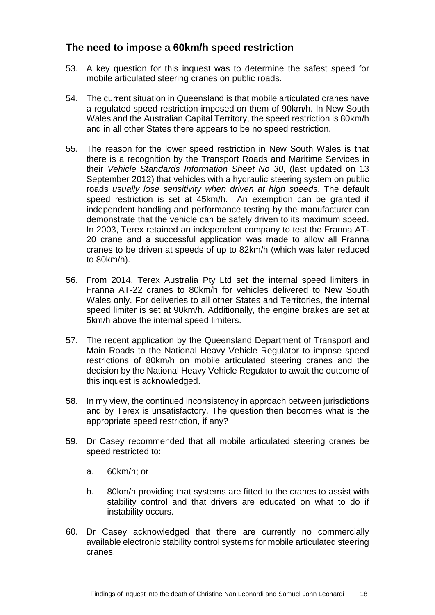# **The need to impose a 60km/h speed restriction**

- 53. A key question for this inquest was to determine the safest speed for mobile articulated steering cranes on public roads.
- 54. The current situation in Queensland is that mobile articulated cranes have a regulated speed restriction imposed on them of 90km/h. In New South Wales and the Australian Capital Territory, the speed restriction is 80km/h and in all other States there appears to be no speed restriction.
- 55. The reason for the lower speed restriction in New South Wales is that there is a recognition by the Transport Roads and Maritime Services in their *Vehicle Standards Information Sheet No 30*, (last updated on 13 September 2012) that vehicles with a hydraulic steering system on public roads *usually lose sensitivity when driven at high speeds*. The default speed restriction is set at 45km/h. An exemption can be granted if independent handling and performance testing by the manufacturer can demonstrate that the vehicle can be safely driven to its maximum speed. In 2003, Terex retained an independent company to test the Franna AT-20 crane and a successful application was made to allow all Franna cranes to be driven at speeds of up to 82km/h (which was later reduced to 80km/h).
- 56. From 2014, Terex Australia Pty Ltd set the internal speed limiters in Franna AT-22 cranes to 80km/h for vehicles delivered to New South Wales only. For deliveries to all other States and Territories, the internal speed limiter is set at 90km/h. Additionally, the engine brakes are set at 5km/h above the internal speed limiters.
- 57. The recent application by the Queensland Department of Transport and Main Roads to the National Heavy Vehicle Regulator to impose speed restrictions of 80km/h on mobile articulated steering cranes and the decision by the National Heavy Vehicle Regulator to await the outcome of this inquest is acknowledged.
- 58. In my view, the continued inconsistency in approach between jurisdictions and by Terex is unsatisfactory. The question then becomes what is the appropriate speed restriction, if any?
- 59. Dr Casey recommended that all mobile articulated steering cranes be speed restricted to:
	- a. 60km/h; or
	- b. 80km/h providing that systems are fitted to the cranes to assist with stability control and that drivers are educated on what to do if instability occurs.
- 60. Dr Casey acknowledged that there are currently no commercially available electronic stability control systems for mobile articulated steering cranes.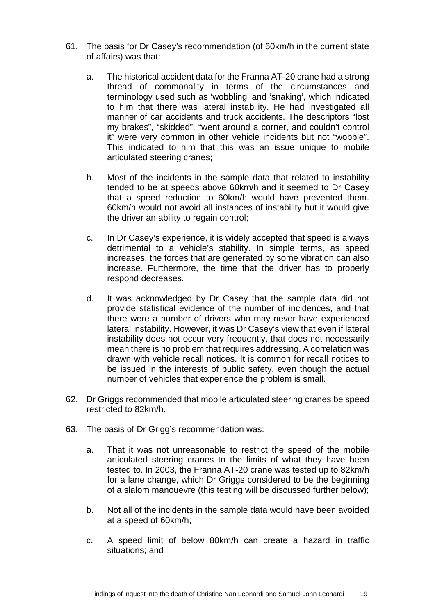- 61. The basis for Dr Casey's recommendation (of 60km/h in the current state of affairs) was that:
	- a. The historical accident data for the Franna AT-20 crane had a strong thread of commonality in terms of the circumstances and terminology used such as 'wobbling' and 'snaking', which indicated to him that there was lateral instability. He had investigated all manner of car accidents and truck accidents. The descriptors "lost my brakes", "skidded", "went around a corner, and couldn't control it" were very common in other vehicle incidents but not "wobble". This indicated to him that this was an issue unique to mobile articulated steering cranes;
	- b. Most of the incidents in the sample data that related to instability tended to be at speeds above 60km/h and it seemed to Dr Casey that a speed reduction to 60km/h would have prevented them. 60km/h would not avoid all instances of instability but it would give the driver an ability to regain control;
	- c. In Dr Casey's experience, it is widely accepted that speed is always detrimental to a vehicle's stability. In simple terms, as speed increases, the forces that are generated by some vibration can also increase. Furthermore, the time that the driver has to properly respond decreases.
	- d. It was acknowledged by Dr Casey that the sample data did not provide statistical evidence of the number of incidences, and that there were a number of drivers who may never have experienced lateral instability. However, it was Dr Casey's view that even if lateral instability does not occur very frequently, that does not necessarily mean there is no problem that requires addressing. A correlation was drawn with vehicle recall notices. It is common for recall notices to be issued in the interests of public safety, even though the actual number of vehicles that experience the problem is small.
- 62. Dr Griggs recommended that mobile articulated steering cranes be speed restricted to 82km/h.
- 63. The basis of Dr Grigg's recommendation was:
	- a. That it was not unreasonable to restrict the speed of the mobile articulated steering cranes to the limits of what they have been tested to. In 2003, the Franna AT-20 crane was tested up to 82km/h for a lane change, which Dr Griggs considered to be the beginning of a slalom manouevre (this testing will be discussed further below);
	- b. Not all of the incidents in the sample data would have been avoided at a speed of 60km/h;
	- c. A speed limit of below 80km/h can create a hazard in traffic situations; and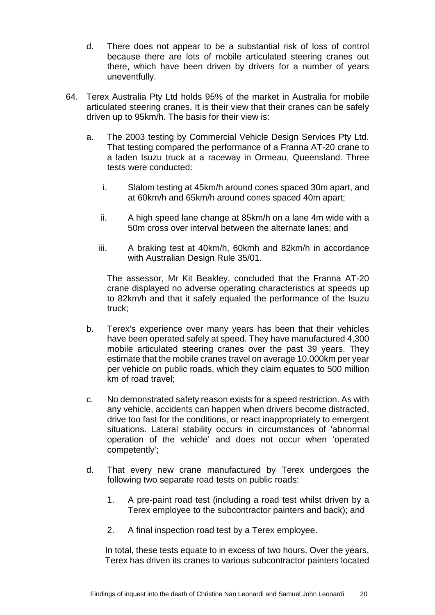- d. There does not appear to be a substantial risk of loss of control because there are lots of mobile articulated steering cranes out there, which have been driven by drivers for a number of years uneventfully.
- 64. Terex Australia Pty Ltd holds 95% of the market in Australia for mobile articulated steering cranes. It is their view that their cranes can be safely driven up to 95km/h. The basis for their view is:
	- a. The 2003 testing by Commercial Vehicle Design Services Pty Ltd. That testing compared the performance of a Franna AT-20 crane to a laden Isuzu truck at a raceway in Ormeau, Queensland. Three tests were conducted:
		- i. Slalom testing at 45km/h around cones spaced 30m apart, and at 60km/h and 65km/h around cones spaced 40m apart;
		- ii. A high speed lane change at 85km/h on a lane 4m wide with a 50m cross over interval between the alternate lanes; and
		- iii. A braking test at 40km/h, 60kmh and 82km/h in accordance with Australian Design Rule 35/01.

The assessor, Mr Kit Beakley, concluded that the Franna AT-20 crane displayed no adverse operating characteristics at speeds up to 82km/h and that it safely equaled the performance of the Isuzu truck;

- b. Terex's experience over many years has been that their vehicles have been operated safely at speed. They have manufactured 4,300 mobile articulated steering cranes over the past 39 years. They estimate that the mobile cranes travel on average 10,000km per year per vehicle on public roads, which they claim equates to 500 million km of road travel;
- c. No demonstrated safety reason exists for a speed restriction. As with any vehicle, accidents can happen when drivers become distracted, drive too fast for the conditions, or react inappropriately to emergent situations. Lateral stability occurs in circumstances of 'abnormal operation of the vehicle' and does not occur when 'operated competently';
- d. That every new crane manufactured by Terex undergoes the following two separate road tests on public roads:
	- 1. A pre-paint road test (including a road test whilst driven by a Terex employee to the subcontractor painters and back); and
	- 2. A final inspection road test by a Terex employee.

In total, these tests equate to in excess of two hours. Over the years, Terex has driven its cranes to various subcontractor painters located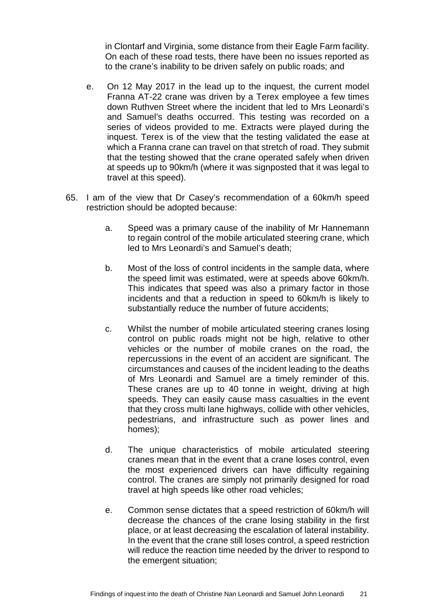in Clontarf and Virginia, some distance from their Eagle Farm facility. On each of these road tests, there have been no issues reported as to the crane's inability to be driven safely on public roads; and

- e. On 12 May 2017 in the lead up to the inquest, the current model Franna AT-22 crane was driven by a Terex employee a few times down Ruthven Street where the incident that led to Mrs Leonardi's and Samuel's deaths occurred. This testing was recorded on a series of videos provided to me. Extracts were played during the inquest. Terex is of the view that the testing validated the ease at which a Franna crane can travel on that stretch of road. They submit that the testing showed that the crane operated safely when driven at speeds up to 90km/h (where it was signposted that it was legal to travel at this speed).
- 65. I am of the view that Dr Casey's recommendation of a 60km/h speed restriction should be adopted because:
	- a. Speed was a primary cause of the inability of Mr Hannemann to regain control of the mobile articulated steering crane, which led to Mrs Leonardi's and Samuel's death;
	- b. Most of the loss of control incidents in the sample data, where the speed limit was estimated, were at speeds above 60km/h. This indicates that speed was also a primary factor in those incidents and that a reduction in speed to 60km/h is likely to substantially reduce the number of future accidents;
	- c. Whilst the number of mobile articulated steering cranes losing control on public roads might not be high, relative to other vehicles or the number of mobile cranes on the road, the repercussions in the event of an accident are significant. The circumstances and causes of the incident leading to the deaths of Mrs Leonardi and Samuel are a timely reminder of this. These cranes are up to 40 tonne in weight, driving at high speeds. They can easily cause mass casualties in the event that they cross multi lane highways, collide with other vehicles, pedestrians, and infrastructure such as power lines and homes);
	- d. The unique characteristics of mobile articulated steering cranes mean that in the event that a crane loses control, even the most experienced drivers can have difficulty regaining control. The cranes are simply not primarily designed for road travel at high speeds like other road vehicles;
	- e. Common sense dictates that a speed restriction of 60km/h will decrease the chances of the crane losing stability in the first place, or at least decreasing the escalation of lateral instability. In the event that the crane still loses control, a speed restriction will reduce the reaction time needed by the driver to respond to the emergent situation;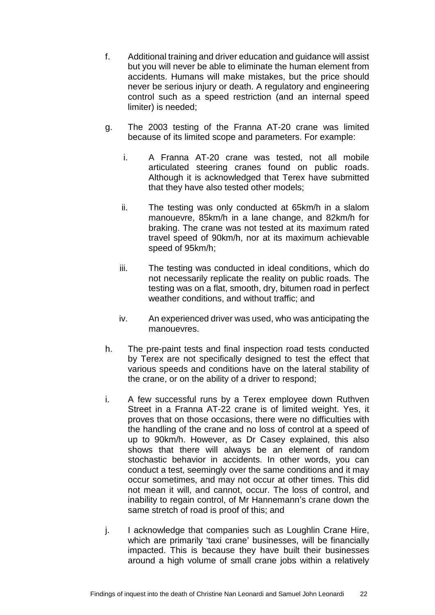- f. Additional training and driver education and guidance will assist but you will never be able to eliminate the human element from accidents. Humans will make mistakes, but the price should never be serious injury or death. A regulatory and engineering control such as a speed restriction (and an internal speed limiter) is needed;
- g. The 2003 testing of the Franna AT-20 crane was limited because of its limited scope and parameters. For example:
	- i. A Franna AT-20 crane was tested, not all mobile articulated steering cranes found on public roads. Although it is acknowledged that Terex have submitted that they have also tested other models;
	- ii. The testing was only conducted at 65km/h in a slalom manouevre, 85km/h in a lane change, and 82km/h for braking. The crane was not tested at its maximum rated travel speed of 90km/h, nor at its maximum achievable speed of 95km/h;
	- iii. The testing was conducted in ideal conditions, which do not necessarily replicate the reality on public roads. The testing was on a flat, smooth, dry, bitumen road in perfect weather conditions, and without traffic; and
	- iv. An experienced driver was used, who was anticipating the manouevres.
- h. The pre-paint tests and final inspection road tests conducted by Terex are not specifically designed to test the effect that various speeds and conditions have on the lateral stability of the crane, or on the ability of a driver to respond;
- i. A few successful runs by a Terex employee down Ruthven Street in a Franna AT-22 crane is of limited weight. Yes, it proves that on those occasions, there were no difficulties with the handling of the crane and no loss of control at a speed of up to 90km/h. However, as Dr Casey explained, this also shows that there will always be an element of random stochastic behavior in accidents. In other words, you can conduct a test, seemingly over the same conditions and it may occur sometimes, and may not occur at other times. This did not mean it will, and cannot, occur. The loss of control, and inability to regain control, of Mr Hannemann's crane down the same stretch of road is proof of this; and
- j. I acknowledge that companies such as Loughlin Crane Hire, which are primarily 'taxi crane' businesses, will be financially impacted. This is because they have built their businesses around a high volume of small crane jobs within a relatively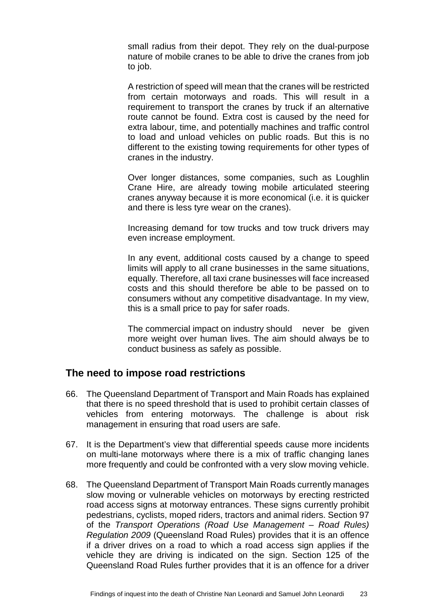small radius from their depot. They rely on the dual-purpose nature of mobile cranes to be able to drive the cranes from job to job.

A restriction of speed will mean that the cranes will be restricted from certain motorways and roads. This will result in a requirement to transport the cranes by truck if an alternative route cannot be found. Extra cost is caused by the need for extra labour, time, and potentially machines and traffic control to load and unload vehicles on public roads. But this is no different to the existing towing requirements for other types of cranes in the industry.

Over longer distances, some companies, such as Loughlin Crane Hire, are already towing mobile articulated steering cranes anyway because it is more economical (i.e. it is quicker and there is less tyre wear on the cranes).

Increasing demand for tow trucks and tow truck drivers may even increase employment.

In any event, additional costs caused by a change to speed limits will apply to all crane businesses in the same situations, equally. Therefore, all taxi crane businesses will face increased costs and this should therefore be able to be passed on to consumers without any competitive disadvantage. In my view, this is a small price to pay for safer roads.

The commercial impact on industry should never be given more weight over human lives. The aim should always be to conduct business as safely as possible.

## <span id="page-25-0"></span>**The need to impose road restrictions**

- 66. The Queensland Department of Transport and Main Roads has explained that there is no speed threshold that is used to prohibit certain classes of vehicles from entering motorways. The challenge is about risk management in ensuring that road users are safe.
- 67. It is the Department's view that differential speeds cause more incidents on multi-lane motorways where there is a mix of traffic changing lanes more frequently and could be confronted with a very slow moving vehicle.
- 68. The Queensland Department of Transport Main Roads currently manages slow moving or vulnerable vehicles on motorways by erecting restricted road access signs at motorway entrances. These signs currently prohibit pedestrians, cyclists, moped riders, tractors and animal riders. Section 97 of the *Transport Operations (Road Use Management – Road Rules) Regulation 2009* (Queensland Road Rules) provides that it is an offence if a driver drives on a road to which a road access sign applies if the vehicle they are driving is indicated on the sign. Section 125 of the Queensland Road Rules further provides that it is an offence for a driver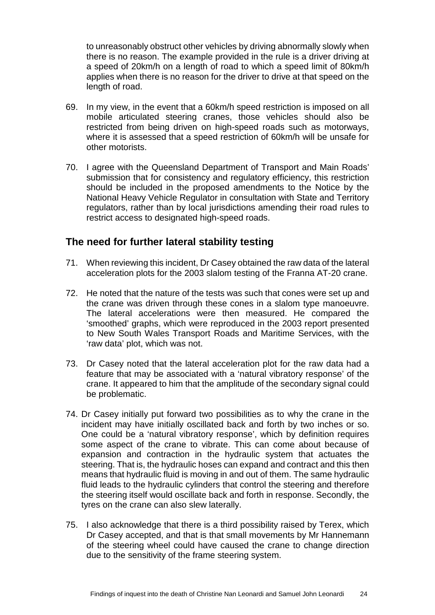to unreasonably obstruct other vehicles by driving abnormally slowly when there is no reason. The example provided in the rule is a driver driving at a speed of 20km/h on a length of road to which a speed limit of 80km/h applies when there is no reason for the driver to drive at that speed on the length of road.

- 69. In my view, in the event that a 60km/h speed restriction is imposed on all mobile articulated steering cranes, those vehicles should also be restricted from being driven on high-speed roads such as motorways, where it is assessed that a speed restriction of 60km/h will be unsafe for other motorists.
- 70. I agree with the Queensland Department of Transport and Main Roads' submission that for consistency and regulatory efficiency, this restriction should be included in the proposed amendments to the Notice by the National Heavy Vehicle Regulator in consultation with State and Territory regulators, rather than by local jurisdictions amending their road rules to restrict access to designated high-speed roads.

## <span id="page-26-0"></span>**The need for further lateral stability testing**

- 71. When reviewing this incident, Dr Casey obtained the raw data of the lateral acceleration plots for the 2003 slalom testing of the Franna AT-20 crane.
- 72. He noted that the nature of the tests was such that cones were set up and the crane was driven through these cones in a slalom type manoeuvre. The lateral accelerations were then measured. He compared the 'smoothed' graphs, which were reproduced in the 2003 report presented to New South Wales Transport Roads and Maritime Services, with the 'raw data' plot, which was not.
- 73. Dr Casey noted that the lateral acceleration plot for the raw data had a feature that may be associated with a 'natural vibratory response' of the crane. It appeared to him that the amplitude of the secondary signal could be problematic.
- 74. Dr Casey initially put forward two possibilities as to why the crane in the incident may have initially oscillated back and forth by two inches or so. One could be a 'natural vibratory response', which by definition requires some aspect of the crane to vibrate. This can come about because of expansion and contraction in the hydraulic system that actuates the steering. That is, the hydraulic hoses can expand and contract and this then means that hydraulic fluid is moving in and out of them. The same hydraulic fluid leads to the hydraulic cylinders that control the steering and therefore the steering itself would oscillate back and forth in response. Secondly, the tyres on the crane can also slew laterally.
- 75. I also acknowledge that there is a third possibility raised by Terex, which Dr Casey accepted, and that is that small movements by Mr Hannemann of the steering wheel could have caused the crane to change direction due to the sensitivity of the frame steering system.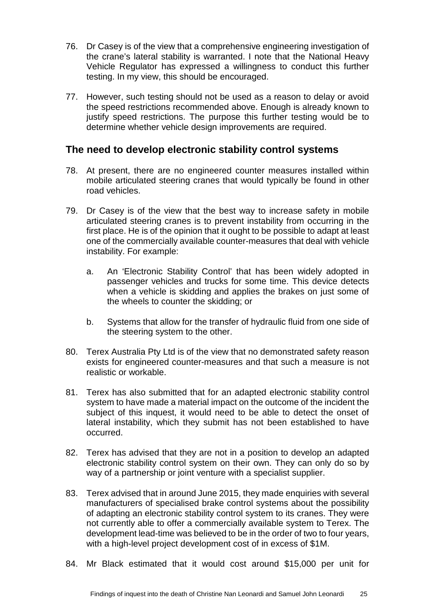- 76. Dr Casey is of the view that a comprehensive engineering investigation of the crane's lateral stability is warranted. I note that the National Heavy Vehicle Regulator has expressed a willingness to conduct this further testing. In my view, this should be encouraged.
- 77. However, such testing should not be used as a reason to delay or avoid the speed restrictions recommended above. Enough is already known to justify speed restrictions. The purpose this further testing would be to determine whether vehicle design improvements are required.

## <span id="page-27-0"></span>**The need to develop electronic stability control systems**

- 78. At present, there are no engineered counter measures installed within mobile articulated steering cranes that would typically be found in other road vehicles.
- 79. Dr Casey is of the view that the best way to increase safety in mobile articulated steering cranes is to prevent instability from occurring in the first place. He is of the opinion that it ought to be possible to adapt at least one of the commercially available counter-measures that deal with vehicle instability. For example:
	- a. An 'Electronic Stability Control' that has been widely adopted in passenger vehicles and trucks for some time. This device detects when a vehicle is skidding and applies the brakes on just some of the wheels to counter the skidding; or
	- b. Systems that allow for the transfer of hydraulic fluid from one side of the steering system to the other.
- 80. Terex Australia Pty Ltd is of the view that no demonstrated safety reason exists for engineered counter-measures and that such a measure is not realistic or workable.
- 81. Terex has also submitted that for an adapted electronic stability control system to have made a material impact on the outcome of the incident the subject of this inquest, it would need to be able to detect the onset of lateral instability, which they submit has not been established to have occurred.
- 82. Terex has advised that they are not in a position to develop an adapted electronic stability control system on their own. They can only do so by way of a partnership or joint venture with a specialist supplier.
- 83. Terex advised that in around June 2015, they made enquiries with several manufacturers of specialised brake control systems about the possibility of adapting an electronic stability control system to its cranes. They were not currently able to offer a commercially available system to Terex. The development lead-time was believed to be in the order of two to four years, with a high-level project development cost of in excess of \$1M.
- 84. Mr Black estimated that it would cost around \$15,000 per unit for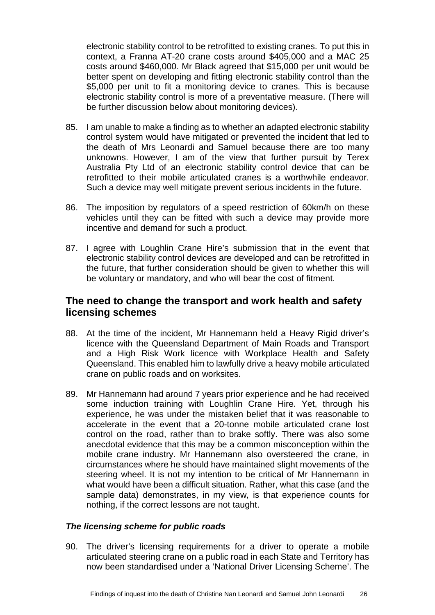electronic stability control to be retrofitted to existing cranes. To put this in context, a Franna AT-20 crane costs around \$405,000 and a MAC 25 costs around \$460,000. Mr Black agreed that \$15,000 per unit would be better spent on developing and fitting electronic stability control than the \$5,000 per unit to fit a monitoring device to cranes. This is because electronic stability control is more of a preventative measure. (There will be further discussion below about monitoring devices).

- 85. I am unable to make a finding as to whether an adapted electronic stability control system would have mitigated or prevented the incident that led to the death of Mrs Leonardi and Samuel because there are too many unknowns. However, I am of the view that further pursuit by Terex Australia Pty Ltd of an electronic stability control device that can be retrofitted to their mobile articulated cranes is a worthwhile endeavor. Such a device may well mitigate prevent serious incidents in the future.
- 86. The imposition by regulators of a speed restriction of 60km/h on these vehicles until they can be fitted with such a device may provide more incentive and demand for such a product.
- 87. I agree with Loughlin Crane Hire's submission that in the event that electronic stability control devices are developed and can be retrofitted in the future, that further consideration should be given to whether this will be voluntary or mandatory, and who will bear the cost of fitment.

## <span id="page-28-0"></span>**The need to change the transport and work health and safety licensing schemes**

- 88. At the time of the incident. Mr Hannemann held a Heavy Rigid driver's licence with the Queensland Department of Main Roads and Transport and a High Risk Work licence with Workplace Health and Safety Queensland. This enabled him to lawfully drive a heavy mobile articulated crane on public roads and on worksites.
- 89. Mr Hannemann had around 7 years prior experience and he had received some induction training with Loughlin Crane Hire. Yet, through his experience, he was under the mistaken belief that it was reasonable to accelerate in the event that a 20-tonne mobile articulated crane lost control on the road, rather than to brake softly. There was also some anecdotal evidence that this may be a common misconception within the mobile crane industry. Mr Hannemann also oversteered the crane, in circumstances where he should have maintained slight movements of the steering wheel. It is not my intention to be critical of Mr Hannemann in what would have been a difficult situation. Rather, what this case (and the sample data) demonstrates, in my view, is that experience counts for nothing, if the correct lessons are not taught.

### <span id="page-28-1"></span>*The licensing scheme for public roads*

90. The driver's licensing requirements for a driver to operate a mobile articulated steering crane on a public road in each State and Territory has now been standardised under a 'National Driver Licensing Scheme'. The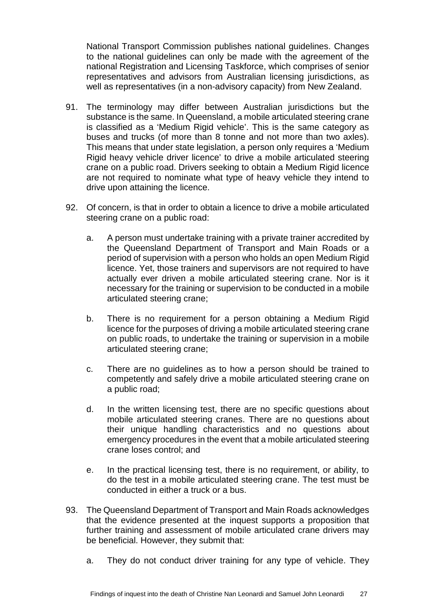National Transport Commission publishes national guidelines. Changes to the national guidelines can only be made with the agreement of the national Registration and Licensing Taskforce, which comprises of senior representatives and advisors from Australian licensing jurisdictions, as well as representatives (in a non-advisory capacity) from New Zealand.

- 91. The terminology may differ between Australian jurisdictions but the substance is the same. In Queensland, a mobile articulated steering crane is classified as a 'Medium Rigid vehicle'. This is the same category as buses and trucks (of more than 8 tonne and not more than two axles). This means that under state legislation, a person only requires a 'Medium Rigid heavy vehicle driver licence' to drive a mobile articulated steering crane on a public road. Drivers seeking to obtain a Medium Rigid licence are not required to nominate what type of heavy vehicle they intend to drive upon attaining the licence.
- 92. Of concern, is that in order to obtain a licence to drive a mobile articulated steering crane on a public road:
	- a. A person must undertake training with a private trainer accredited by the Queensland Department of Transport and Main Roads or a period of supervision with a person who holds an open Medium Rigid licence. Yet, those trainers and supervisors are not required to have actually ever driven a mobile articulated steering crane. Nor is it necessary for the training or supervision to be conducted in a mobile articulated steering crane;
	- b. There is no requirement for a person obtaining a Medium Rigid licence for the purposes of driving a mobile articulated steering crane on public roads, to undertake the training or supervision in a mobile articulated steering crane;
	- c. There are no guidelines as to how a person should be trained to competently and safely drive a mobile articulated steering crane on a public road;
	- d. In the written licensing test, there are no specific questions about mobile articulated steering cranes. There are no questions about their unique handling characteristics and no questions about emergency procedures in the event that a mobile articulated steering crane loses control; and
	- e. In the practical licensing test, there is no requirement, or ability, to do the test in a mobile articulated steering crane. The test must be conducted in either a truck or a bus.
- 93. The Queensland Department of Transport and Main Roads acknowledges that the evidence presented at the inquest supports a proposition that further training and assessment of mobile articulated crane drivers may be beneficial. However, they submit that:
	- a. They do not conduct driver training for any type of vehicle. They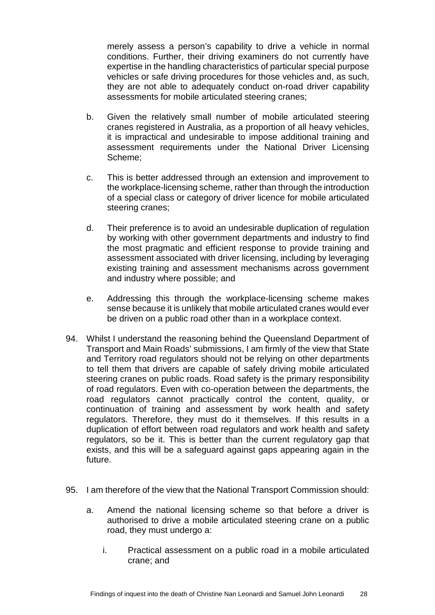merely assess a person's capability to drive a vehicle in normal conditions. Further, their driving examiners do not currently have expertise in the handling characteristics of particular special purpose vehicles or safe driving procedures for those vehicles and, as such, they are not able to adequately conduct on-road driver capability assessments for mobile articulated steering cranes;

- b. Given the relatively small number of mobile articulated steering cranes registered in Australia, as a proportion of all heavy vehicles, it is impractical and undesirable to impose additional training and assessment requirements under the National Driver Licensing Scheme;
- c. This is better addressed through an extension and improvement to the workplace-licensing scheme, rather than through the introduction of a special class or category of driver licence for mobile articulated steering cranes;
- d. Their preference is to avoid an undesirable duplication of regulation by working with other government departments and industry to find the most pragmatic and efficient response to provide training and assessment associated with driver licensing, including by leveraging existing training and assessment mechanisms across government and industry where possible; and
- e. Addressing this through the workplace-licensing scheme makes sense because it is unlikely that mobile articulated cranes would ever be driven on a public road other than in a workplace context.
- 94. Whilst I understand the reasoning behind the Queensland Department of Transport and Main Roads' submissions, I am firmly of the view that State and Territory road regulators should not be relying on other departments to tell them that drivers are capable of safely driving mobile articulated steering cranes on public roads. Road safety is the primary responsibility of road regulators. Even with co-operation between the departments, the road regulators cannot practically control the content, quality, or continuation of training and assessment by work health and safety regulators. Therefore, they must do it themselves. If this results in a duplication of effort between road regulators and work health and safety regulators, so be it. This is better than the current regulatory gap that exists, and this will be a safeguard against gaps appearing again in the future.
- 95. I am therefore of the view that the National Transport Commission should:
	- a. Amend the national licensing scheme so that before a driver is authorised to drive a mobile articulated steering crane on a public road, they must undergo a:
		- i. Practical assessment on a public road in a mobile articulated crane; and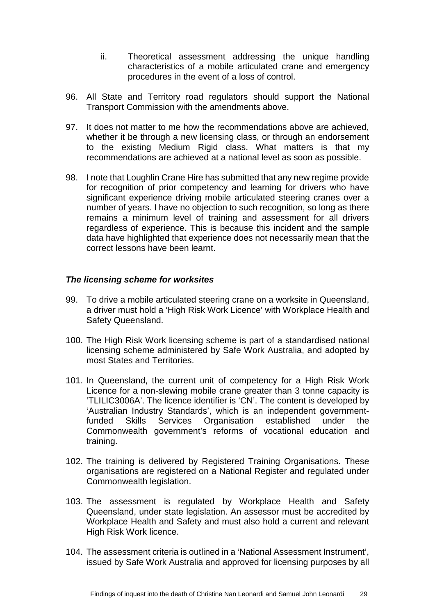- ii. Theoretical assessment addressing the unique handling characteristics of a mobile articulated crane and emergency procedures in the event of a loss of control.
- 96. All State and Territory road regulators should support the National Transport Commission with the amendments above.
- 97. It does not matter to me how the recommendations above are achieved, whether it be through a new licensing class, or through an endorsement to the existing Medium Rigid class. What matters is that my recommendations are achieved at a national level as soon as possible.
- 98. I note that Loughlin Crane Hire has submitted that any new regime provide for recognition of prior competency and learning for drivers who have significant experience driving mobile articulated steering cranes over a number of years. I have no objection to such recognition, so long as there remains a minimum level of training and assessment for all drivers regardless of experience. This is because this incident and the sample data have highlighted that experience does not necessarily mean that the correct lessons have been learnt.

#### <span id="page-31-0"></span>*The licensing scheme for worksites*

- 99. To drive a mobile articulated steering crane on a worksite in Queensland, a driver must hold a 'High Risk Work Licence' with Workplace Health and Safety Queensland.
- 100. The High Risk Work licensing scheme is part of a standardised national licensing scheme administered by Safe Work Australia, and adopted by most States and Territories.
- 101. In Queensland, the current unit of competency for a High Risk Work Licence for a non-slewing mobile crane greater than 3 tonne capacity is 'TLILIC3006A'. The licence identifier is 'CN'. The content is developed by 'Australian Industry Standards', which is an independent governmentfunded Skills Services Organisation established under the Commonwealth government's reforms of vocational education and training.
- 102. The training is delivered by Registered Training Organisations. These organisations are registered on a National Register and regulated under Commonwealth legislation.
- 103. The assessment is regulated by Workplace Health and Safety Queensland, under state legislation. An assessor must be accredited by Workplace Health and Safety and must also hold a current and relevant High Risk Work licence.
- 104. The assessment criteria is outlined in a 'National Assessment Instrument', issued by Safe Work Australia and approved for licensing purposes by all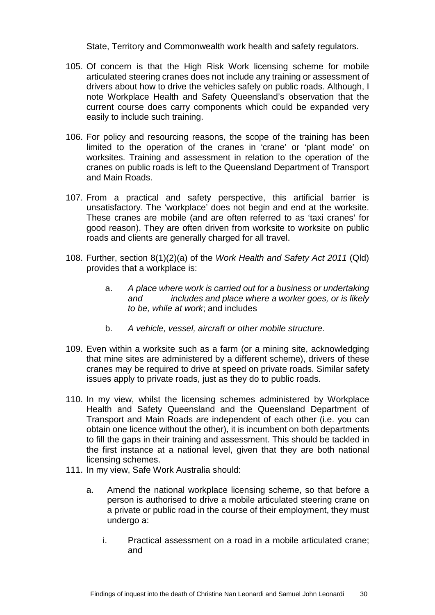State, Territory and Commonwealth work health and safety regulators.

- 105. Of concern is that the High Risk Work licensing scheme for mobile articulated steering cranes does not include any training or assessment of drivers about how to drive the vehicles safely on public roads. Although, I note Workplace Health and Safety Queensland's observation that the current course does carry components which could be expanded very easily to include such training.
- 106. For policy and resourcing reasons, the scope of the training has been limited to the operation of the cranes in 'crane' or 'plant mode' on worksites. Training and assessment in relation to the operation of the cranes on public roads is left to the Queensland Department of Transport and Main Roads.
- 107. From a practical and safety perspective, this artificial barrier is unsatisfactory. The 'workplace' does not begin and end at the worksite. These cranes are mobile (and are often referred to as 'taxi cranes' for good reason). They are often driven from worksite to worksite on public roads and clients are generally charged for all travel.
- 108. Further, section 8(1)(2)(a) of the *Work Health and Safety Act 2011* (Qld) provides that a workplace is:
	- a. *A place where work is carried out for a business or undertaking and includes and place where a worker goes, or is likely to be, while at work*; and includes
	- b. *A vehicle, vessel, aircraft or other mobile structure*.
- 109. Even within a worksite such as a farm (or a mining site, acknowledging that mine sites are administered by a different scheme), drivers of these cranes may be required to drive at speed on private roads. Similar safety issues apply to private roads, just as they do to public roads.
- 110. In my view, whilst the licensing schemes administered by Workplace Health and Safety Queensland and the Queensland Department of Transport and Main Roads are independent of each other (i.e. you can obtain one licence without the other), it is incumbent on both departments to fill the gaps in their training and assessment. This should be tackled in the first instance at a national level, given that they are both national licensing schemes.
- 111. In my view, Safe Work Australia should:
	- a. Amend the national workplace licensing scheme, so that before a person is authorised to drive a mobile articulated steering crane on a private or public road in the course of their employment, they must undergo a:
		- i. Practical assessment on a road in a mobile articulated crane; and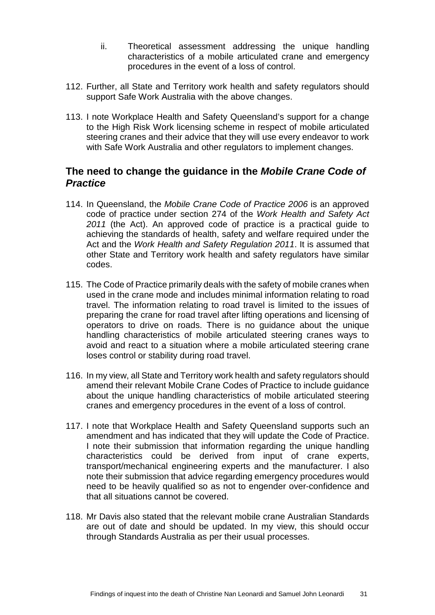- ii. Theoretical assessment addressing the unique handling characteristics of a mobile articulated crane and emergency procedures in the event of a loss of control.
- 112. Further, all State and Territory work health and safety regulators should support Safe Work Australia with the above changes.
- 113. I note Workplace Health and Safety Queensland's support for a change to the High Risk Work licensing scheme in respect of mobile articulated steering cranes and their advice that they will use every endeavor to work with Safe Work Australia and other regulators to implement changes.

# <span id="page-33-0"></span>**The need to change the guidance in the** *Mobile Crane Code of Practice*

- 114. In Queensland, the *Mobile Crane Code of Practice 2006* is an approved code of practice under section 274 of the *Work Health and Safety Act 2011* (the Act). An approved code of practice is a practical guide to achieving the standards of health, safety and welfare required under the Act and the *Work Health and Safety Regulation 2011*. It is assumed that other State and Territory work health and safety regulators have similar codes.
- 115. The Code of Practice primarily deals with the safety of mobile cranes when used in the crane mode and includes minimal information relating to road travel. The information relating to road travel is limited to the issues of preparing the crane for road travel after lifting operations and licensing of operators to drive on roads. There is no guidance about the unique handling characteristics of mobile articulated steering cranes ways to avoid and react to a situation where a mobile articulated steering crane loses control or stability during road travel.
- 116. In my view, all State and Territory work health and safety regulators should amend their relevant Mobile Crane Codes of Practice to include guidance about the unique handling characteristics of mobile articulated steering cranes and emergency procedures in the event of a loss of control.
- 117. I note that Workplace Health and Safety Queensland supports such an amendment and has indicated that they will update the Code of Practice. I note their submission that information regarding the unique handling characteristics could be derived from input of crane experts, transport/mechanical engineering experts and the manufacturer. I also note their submission that advice regarding emergency procedures would need to be heavily qualified so as not to engender over-confidence and that all situations cannot be covered.
- 118. Mr Davis also stated that the relevant mobile crane Australian Standards are out of date and should be updated. In my view, this should occur through Standards Australia as per their usual processes.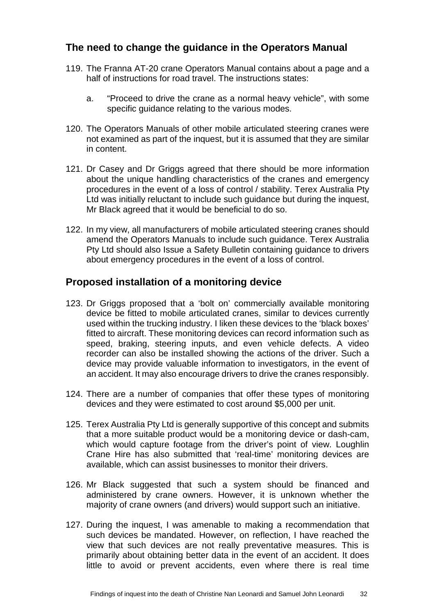# <span id="page-34-0"></span>**The need to change the guidance in the Operators Manual**

- 119. The Franna AT-20 crane Operators Manual contains about a page and a half of instructions for road travel. The instructions states:
	- a. "Proceed to drive the crane as a normal heavy vehicle", with some specific guidance relating to the various modes.
- 120. The Operators Manuals of other mobile articulated steering cranes were not examined as part of the inquest, but it is assumed that they are similar in content.
- 121. Dr Casey and Dr Griggs agreed that there should be more information about the unique handling characteristics of the cranes and emergency procedures in the event of a loss of control / stability. Terex Australia Pty Ltd was initially reluctant to include such guidance but during the inquest, Mr Black agreed that it would be beneficial to do so.
- 122. In my view, all manufacturers of mobile articulated steering cranes should amend the Operators Manuals to include such guidance. Terex Australia Pty Ltd should also Issue a Safety Bulletin containing guidance to drivers about emergency procedures in the event of a loss of control.

## <span id="page-34-1"></span>**Proposed installation of a monitoring device**

- 123. Dr Griggs proposed that a 'bolt on' commercially available monitoring device be fitted to mobile articulated cranes, similar to devices currently used within the trucking industry. I liken these devices to the 'black boxes' fitted to aircraft. These monitoring devices can record information such as speed, braking, steering inputs, and even vehicle defects. A video recorder can also be installed showing the actions of the driver. Such a device may provide valuable information to investigators, in the event of an accident. It may also encourage drivers to drive the cranes responsibly.
- 124. There are a number of companies that offer these types of monitoring devices and they were estimated to cost around \$5,000 per unit.
- 125. Terex Australia Pty Ltd is generally supportive of this concept and submits that a more suitable product would be a monitoring device or dash-cam, which would capture footage from the driver's point of view. Loughlin Crane Hire has also submitted that 'real-time' monitoring devices are available, which can assist businesses to monitor their drivers.
- 126. Mr Black suggested that such a system should be financed and administered by crane owners. However, it is unknown whether the majority of crane owners (and drivers) would support such an initiative.
- 127. During the inquest, I was amenable to making a recommendation that such devices be mandated. However, on reflection, I have reached the view that such devices are not really preventative measures. This is primarily about obtaining better data in the event of an accident. It does little to avoid or prevent accidents, even where there is real time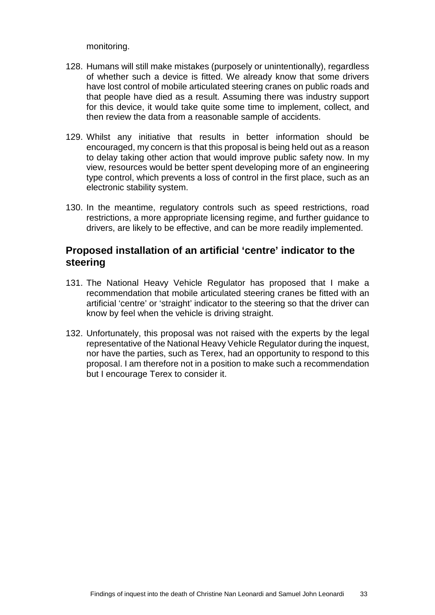monitoring.

- 128. Humans will still make mistakes (purposely or unintentionally), regardless of whether such a device is fitted. We already know that some drivers have lost control of mobile articulated steering cranes on public roads and that people have died as a result. Assuming there was industry support for this device, it would take quite some time to implement, collect, and then review the data from a reasonable sample of accidents.
- 129. Whilst any initiative that results in better information should be encouraged, my concern is that this proposal is being held out as a reason to delay taking other action that would improve public safety now. In my view, resources would be better spent developing more of an engineering type control, which prevents a loss of control in the first place, such as an electronic stability system.
- 130. In the meantime, regulatory controls such as speed restrictions, road restrictions, a more appropriate licensing regime, and further guidance to drivers, are likely to be effective, and can be more readily implemented.

## <span id="page-35-0"></span>**Proposed installation of an artificial 'centre' indicator to the steering**

- 131. The National Heavy Vehicle Regulator has proposed that I make a recommendation that mobile articulated steering cranes be fitted with an artificial 'centre' or 'straight' indicator to the steering so that the driver can know by feel when the vehicle is driving straight.
- 132. Unfortunately, this proposal was not raised with the experts by the legal representative of the National Heavy Vehicle Regulator during the inquest, nor have the parties, such as Terex, had an opportunity to respond to this proposal. I am therefore not in a position to make such a recommendation but I encourage Terex to consider it.